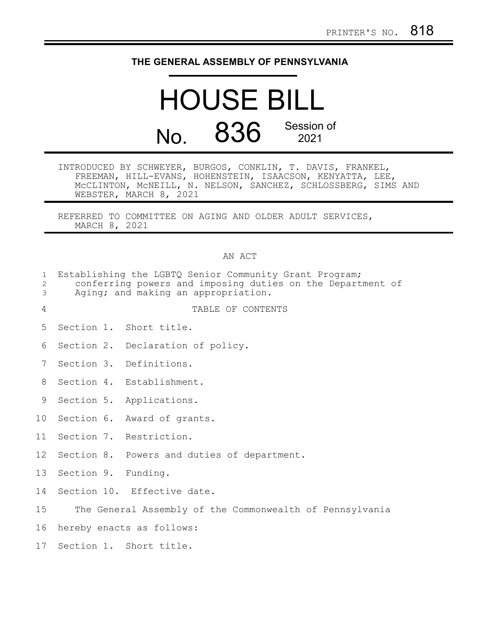## **THE GENERAL ASSEMBLY OF PENNSYLVANIA**

## HOUSE BILL No. 836 Session of 2021

INTRODUCED BY SCHWEYER, BURGOS, CONKLIN, T. DAVIS, FRANKEL, FREEMAN, HILL-EVANS, HOHENSTEIN, ISAACSON, KENYATTA, LEE, McCLINTON, McNEILL, N. NELSON, SANCHEZ, SCHLOSSBERG, SIMS AND WEBSTER, MARCH 8, 2021

REFERRED TO COMMITTEE ON AGING AND OLDER ADULT SERVICES, MARCH 8, 2021

## AN ACT

| $\mathbf{1}$<br>$\overline{c}$<br>3 | Establishing the LGBTQ Senior Community Grant Program;<br>conferring powers and imposing duties on the Department of<br>Aging; and making an appropriation. |                                                          |
|-------------------------------------|-------------------------------------------------------------------------------------------------------------------------------------------------------------|----------------------------------------------------------|
| 4                                   |                                                                                                                                                             | TABLE OF CONTENTS                                        |
| 5                                   |                                                                                                                                                             | Section 1. Short title.                                  |
| 6                                   |                                                                                                                                                             | Section 2. Declaration of policy.                        |
| 7                                   |                                                                                                                                                             | Section 3. Definitions.                                  |
| 8                                   |                                                                                                                                                             | Section 4. Establishment.                                |
| 9                                   |                                                                                                                                                             | Section 5. Applications.                                 |
| 10                                  |                                                                                                                                                             | Section 6. Award of grants.                              |
| 11                                  |                                                                                                                                                             | Section 7. Restriction.                                  |
| 12 <sup>°</sup>                     |                                                                                                                                                             | Section 8. Powers and duties of department.              |
| 13                                  | Section 9. Funding.                                                                                                                                         |                                                          |
| 14                                  |                                                                                                                                                             | Section 10. Effective date.                              |
| 15                                  |                                                                                                                                                             | The General Assembly of the Commonwealth of Pennsylvania |
| 16                                  | hereby enacts as follows:                                                                                                                                   |                                                          |
| 17                                  |                                                                                                                                                             | Section 1. Short title.                                  |
|                                     |                                                                                                                                                             |                                                          |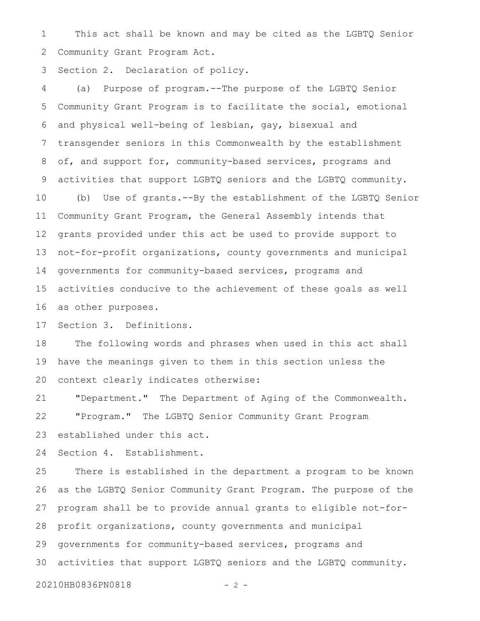This act shall be known and may be cited as the LGBTQ Senior Community Grant Program Act. 1 2

Section 2. Declaration of policy. 3

(a) Purpose of program.--The purpose of the LGBTQ Senior Community Grant Program is to facilitate the social, emotional and physical well-being of lesbian, gay, bisexual and transgender seniors in this Commonwealth by the establishment of, and support for, community-based services, programs and activities that support LGBTQ seniors and the LGBTQ community. (b) Use of grants.--By the establishment of the LGBTQ Senior Community Grant Program, the General Assembly intends that grants provided under this act be used to provide support to not-for-profit organizations, county governments and municipal governments for community-based services, programs and activities conducive to the achievement of these goals as well as other purposes. 4 5 6 7 8 9 10 11 12 13 14 15 16

Section 3. Definitions. 17

The following words and phrases when used in this act shall have the meanings given to them in this section unless the context clearly indicates otherwise: 18 19 20

"Department." The Department of Aging of the Commonwealth. "Program." The LGBTQ Senior Community Grant Program established under this act. 21 22 23

Section 4. Establishment. 24

There is established in the department a program to be known as the LGBTQ Senior Community Grant Program. The purpose of the program shall be to provide annual grants to eligible not-forprofit organizations, county governments and municipal governments for community-based services, programs and activities that support LGBTQ seniors and the LGBTQ community. 25 26 27 28 29 30

20210HB0836PN0818 - 2 -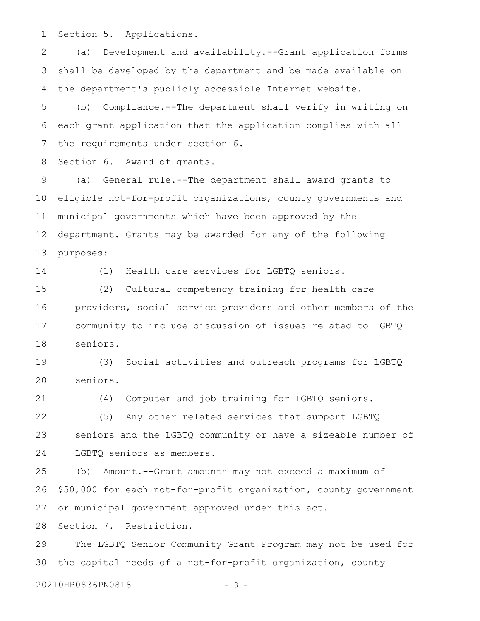Section 5. Applications. 1

(a) Development and availability.--Grant application forms shall be developed by the department and be made available on the department's publicly accessible Internet website. 2 3 4

(b) Compliance.--The department shall verify in writing on each grant application that the application complies with all the requirements under section 6. 5 6 7

Section 6. Award of grants. 8

(a) General rule.--The department shall award grants to eligible not-for-profit organizations, county governments and municipal governments which have been approved by the department. Grants may be awarded for any of the following purposes: 9 10 11 12 13

14

(1) Health care services for LGBTQ seniors.

(2) Cultural competency training for health care providers, social service providers and other members of the community to include discussion of issues related to LGBTQ seniors. 15 16 17 18

(3) Social activities and outreach programs for LGBTQ seniors. 19 20

(4) Computer and job training for LGBTQ seniors. 21

(5) Any other related services that support LGBTQ seniors and the LGBTQ community or have a sizeable number of LGBTQ seniors as members. 22 23 24

(b) Amount.--Grant amounts may not exceed a maximum of \$50,000 for each not-for-profit organization, county government or municipal government approved under this act. 25 26 27

Section 7. Restriction. 28

The LGBTQ Senior Community Grant Program may not be used for the capital needs of a not-for-profit organization, county 29 30

20210HB0836PN0818 - 3 -